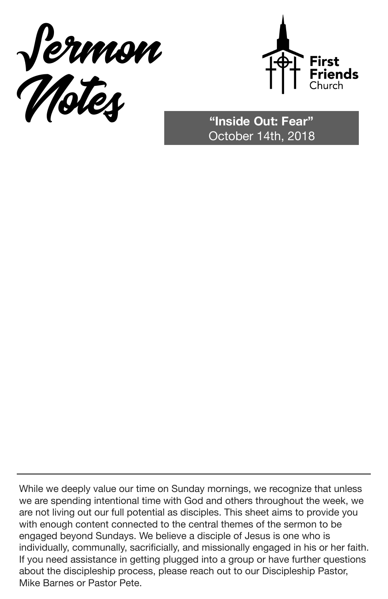



October 14th, 2018

While we deeply value our time on Sunday mornings, we recognize that unless we are spending intentional time with God and others throughout the week, we are not living out our full potential as disciples. This sheet aims to provide you with enough content connected to the central themes of the sermon to be engaged beyond Sundays. We believe a disciple of Jesus is one who is individually, communally, sacrificially, and missionally engaged in his or her faith. If you need assistance in getting plugged into a group or have further questions about the discipleship process, please reach out to our Discipleship Pastor, Mike Barnes or Pastor Pete.